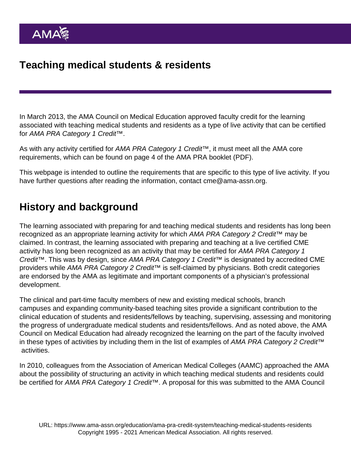In March 2013, the AMA Council on Medical Education approved faculty credit for the learning associated with teaching medical students and residents as a type of live activity that can be certified for AMA PRA Category 1 Credit™.

As with any activity certified for AMA PRA Category 1 Credit™, it must meet all the AMA core requirements, which can be found on page 4 of the [AMA PRA booklet](https://www.ama-assn.org/sites/ama-assn.org/files/corp/media-browser/public/cme/pra-booklet_0.pdf) (PDF).

This webpage is intended to outline the requirements that are specific to this type of live activity. If you have further questions after reading the information, contact [cme@ama-assn.org](mailto:cme@ama-assn.org).

# History and background

The learning associated with preparing for and teaching medical students and residents has long been recognized as an appropriate learning activity for which AMA PRA Category 2 Credit™ may be claimed. In contrast, the learning associated with preparing and teaching at a live certified CME activity has long been recognized as an activity that may be certified for AMA PRA Category 1 Credit™. This was by design, since AMA PRA Category 1 Credit™ is designated by accredited CME providers while AMA PRA Category 2 Credit™ is self-claimed by physicians. Both credit categories are endorsed by the AMA as legitimate and important components of a physician's professional development.

The clinical and part-time faculty members of new and existing medical schools, branch campuses and expanding community-based teaching sites provide a significant contribution to the clinical education of students and residents/fellows by teaching, supervising, assessing and monitoring the progress of undergraduate medical students and residents/fellows. And as noted above, the AMA Council on Medical Education had already recognized the learning on the part of the faculty involved in these types of activities by including them in the list of examples of AMA PRA Category 2 Credit™ activities.

In 2010, colleagues from the Association of American Medical Colleges (AAMC) approached the AMA about the possibility of structuring an activity in which teaching medical students and residents could be certified for AMA PRA Category 1 Credit<sup>™</sup>. A proposal for this was submitted to the AMA Council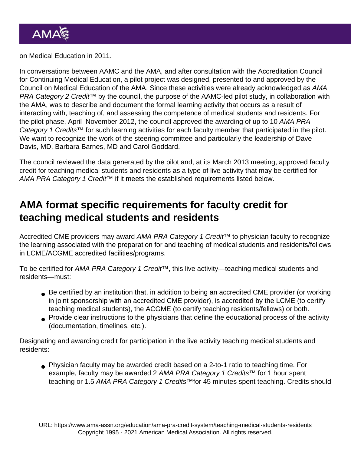on Medical Education in 2011.

In conversations between AAMC and the AMA, and after consultation with the Accreditation Council for Continuing Medical Education, a pilot project was designed, presented to and approved by the Council on Medical Education of the AMA. Since these activities were already acknowledged as AMA PRA Category 2 Credit<sup>™</sup> by the council, the purpose of the AAMC-led pilot study, in collaboration with the AMA, was to describe and document the formal learning activity that occurs as a result of interacting with, teaching of, and assessing the competence of medical students and residents. For the pilot phase, April–November 2012, the council approved the awarding of up to 10 AMA PRA Category 1 Credits™ for such learning activities for each faculty member that participated in the pilot. We want to recognize the work of the steering committee and particularly the leadership of Dave Davis, MD, Barbara Barnes, MD and Carol Goddard.

The council reviewed the data generated by the pilot and, at its March 2013 meeting, approved faculty credit for teaching medical students and residents as a type of live activity that may be certified for AMA PRA Category 1 Credit<sup>™</sup> if it meets the established requirements listed below.

# AMA format specific requirements for faculty credit for teaching medical students and residents

Accredited CME providers may award AMA PRA Category 1 Credit™ to physician faculty to recognize the learning associated with the preparation for and teaching of medical students and residents/fellows in LCME/ACGME accredited facilities/programs.

To be certified for AMA PRA Category 1 Credit™, this live activity—teaching medical students and residents—must:

- Be certified by an institution that, in addition to being an accredited CME provider (or working in joint sponsorship with an accredited CME provider), is accredited by the LCME (to certify teaching medical students), the ACGME (to certify teaching residents/fellows) or both.
- Provide clear instructions to the physicians that define the educational process of the activity (documentation, timelines, etc.).

Designating and awarding credit for participation in the live activity teaching medical students and residents:

Physician faculty may be awarded credit based on a 2-to-1 ratio to teaching time. For example, faculty may be awarded 2 AMA PRA Category 1 Credits™ for 1 hour spent teaching or 1.5 AMA PRA Category 1 Credits™for 45 minutes spent teaching. Credits should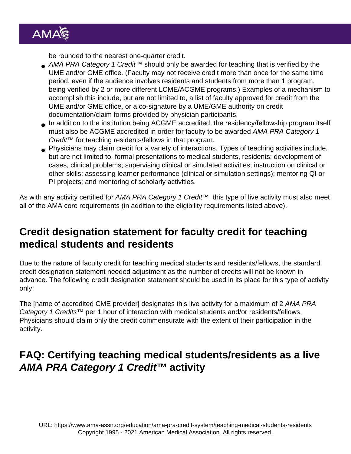be rounded to the nearest one-quarter credit.

- AMA PRA Category 1 Credit<sup>™</sup> should only be awarded for teaching that is verified by the UME and/or GME office. (Faculty may not receive credit more than once for the same time period, even if the audience involves residents and students from more than 1 program, being verified by 2 or more different LCME/ACGME programs.) Examples of a mechanism to accomplish this include, but are not limited to, a list of faculty approved for credit from the UME and/or GME office, or a co-signature by a UME/GME authority on credit documentation/claim forms provided by physician participants.
- In addition to the institution being ACGME accredited, the residency/fellowship program itself must also be ACGME accredited in order for faculty to be awarded AMA PRA Category 1 Credit™ for teaching residents/fellows in that program.
- Physicians may claim credit for a variety of interactions. Types of teaching activities include, but are not limited to, formal presentations to medical students, residents; development of cases, clinical problems; supervising clinical or simulated activities; instruction on clinical or other skills; assessing learner performance (clinical or simulation settings); mentoring QI or PI projects; and mentoring of scholarly activities.

As with any activity certified for AMA PRA Category 1 Credit™, this type of live activity must also meet all of the AMA core requirements (in addition to the eligibility requirements listed above).

# Credit designation statement for faculty credit for teaching medical students and residents

Due to the nature of faculty credit for teaching medical students and residents/fellows, the standard credit designation statement needed adjustment as the number of credits will not be known in advance. The following credit designation statement should be used in its place for this type of activity only:

The [name of accredited CME provider] designates this live activity for a maximum of 2 AMA PRA Category 1 Credits<sup>™</sup> per 1 hour of interaction with medical students and/or residents/fellows. Physicians should claim only the credit commensurate with the extent of their participation in the activity.

# FAQ: Certifying teaching medical students/residents as a live AMA PRA Category 1 Credit™ activity